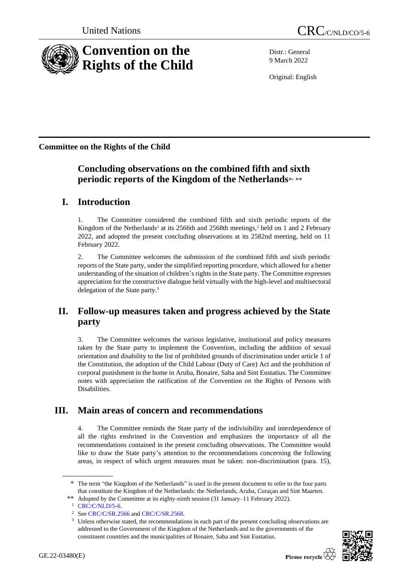

Distr.: General 9 March 2022

Original: English

**Committee on the Rights of the Child**

# **Concluding observations on the combined fifth and sixth periodic reports of the Kingdom of the Netherlands**\* , \*\*

# **I. Introduction**

1. The Committee considered the combined fifth and sixth periodic reports of the Kingdom of the Netherlands<sup>1</sup> at its 2566th and 2568th meetings,<sup>2</sup> held on 1 and 2 February 2022, and adopted the present concluding observations at its 2582nd meeting, held on 11 February 2022.

2. The Committee welcomes the submission of the combined fifth and sixth periodic reports of the State party, under the simplified reporting procedure, which allowed for a better understanding of the situation of children's rights in the State party. The Committee expresses appreciation for the constructive dialogue held virtually with the high-level and multisectoral delegation of the State party. 3

# **II. Follow-up measures taken and progress achieved by the State party**

3. The Committee welcomes the various legislative, institutional and policy measures taken by the State party to implement the Convention, including the addition of sexual orientation and disability to the list of prohibited grounds of discrimination under article 1 of the Constitution, the adoption of the Child Labour (Duty of Care) Act and the prohibition of corporal punishment in the home in Aruba, Bonaire, Saba and Sint Eustatius. The Committee notes with appreciation the ratification of the Convention on the Rights of Persons with Disabilities.

# **III. Main areas of concern and recommendations**

4. The Committee reminds the State party of the indivisibility and interdependence of all the rights enshrined in the Convention and emphasizes the importance of all the recommendations contained in the present concluding observations. The Committee would like to draw the State party's attention to the recommendations concerning the following areas, in respect of which urgent measures must be taken: non-discrimination (para. 15),

<sup>&</sup>lt;sup>3</sup> Unless otherwise stated, the recommendations in each part of the present concluding observations are addressed to the Government of the Kingdom of the Netherlands and to the governments of the constituent countries and the municipalities of Bonaire, Saba and Sint Eustatius.



<sup>\*</sup> The term "the Kingdom of the Netherlands" is used in the present document to refer to the four parts that constitute the Kingdom of the Netherlands: the Netherlands, Aruba, Curaçao and Sint Maarten.

<sup>\*\*</sup> Adopted by the Committee at its eighty-ninth session (31 January–11 February 2022).

<sup>1</sup> [CRC/C/NLD/5-6.](https://undocs.org/en/CRC/C/NLD/5-6)

<sup>&</sup>lt;sup>2</sup> Se[e CRC/C/SR.2566](http://undocs.org/en/CRC/C/SR.2566) an[d CRC/C/SR.2568.](https://undocs.org/en/CRC/C/SR.2568)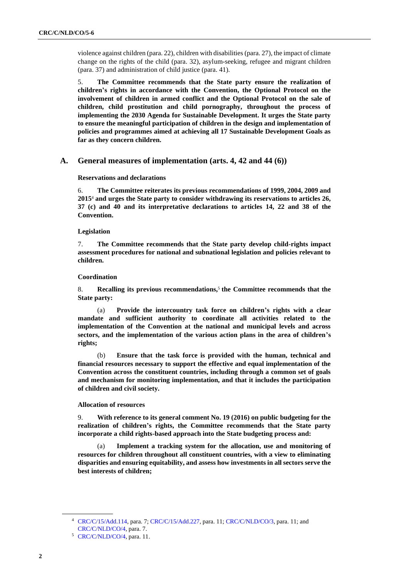violence against children (para. 22), children with disabilities (para. 27), the impact of climate change on the rights of the child (para. 32), asylum-seeking, refugee and migrant children (para. 37) and administration of child justice (para. 41).

5. **The Committee recommends that the State party ensure the realization of children's rights in accordance with the Convention, the Optional Protocol on the involvement of children in armed conflict and the Optional Protocol on the sale of children, child prostitution and child pornography, throughout the process of implementing the 2030 Agenda for Sustainable Development. It urges the State party to ensure the meaningful participation of children in the design and implementation of policies and programmes aimed at achieving all 17 Sustainable Development Goals as far as they concern children.**

# **A. General measures of implementation (arts. 4, 42 and 44 (6))**

**Reservations and declarations**

6. **The Committee reiterates its previous recommendations of 1999, 2004, 2009 and 2015**<sup>4</sup> **and urges the State party to consider withdrawing its reservations to articles 26, 37 (c) and 40 and its interpretative declarations to articles 14, 22 and 38 of the Convention.**

### **Legislation**

7. **The Committee recommends that the State party develop child-rights impact assessment procedures for national and subnational legislation and policies relevant to children.**

### **Coordination**

8. **Recalling its previous recommendations,**<sup>5</sup> **the Committee recommends that the State party:**

(a) **Provide the intercountry task force on children's rights with a clear mandate and sufficient authority to coordinate all activities related to the implementation of the Convention at the national and municipal levels and across sectors, and the implementation of the various action plans in the area of children's rights;**

(b) **Ensure that the task force is provided with the human, technical and financial resources necessary to support the effective and equal implementation of the Convention across the constituent countries, including through a common set of goals and mechanism for monitoring implementation, and that it includes the participation of children and civil society.**

### **Allocation of resources**

9. **With reference to its general comment No. 19 (2016) on public budgeting for the realization of children's rights, the Committee recommends that the State party incorporate a child rights-based approach into the State budgeting process and:**

Implement a tracking system for the allocation, use and monitoring of **resources for children throughout all constituent countries, with a view to eliminating disparities and ensuring equitability, and assess how investments in all sectors serve the best interests of children;**

<sup>4</sup> [CRC/C/15/Add.114,](http://undocs.org/en/CRC/C/15/Add.114) para. 7; [CRC/C/15/Add.227,](http://undocs.org/en/CRC/C/15/Add.227) para. 11; [CRC/C/NLD/CO/3,](http://undocs.org/en/CRC/C/NLD/CO/3) para. 11; and [CRC/C/NLD/CO/4,](http://undocs.org/en/CRC/C/NLD/CO/4) para. 7.

<sup>5</sup> [CRC/C/NLD/CO/4,](http://undocs.org/en/CRC/C/NLD/CO/4) para. 11.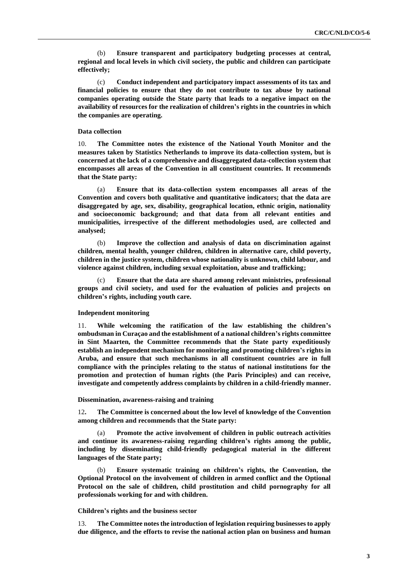(b) **Ensure transparent and participatory budgeting processes at central, regional and local levels in which civil society, the public and children can participate effectively;**

(c) **Conduct independent and participatory impact assessments of its tax and financial policies to ensure that they do not contribute to tax abuse by national companies operating outside the State party that leads to a negative impact on the availability of resources for the realization of children's rights in the countries in which the companies are operating.**

### **Data collection**

10. **The Committee notes the existence of the National Youth Monitor and the measures taken by Statistics Netherlands to improve its data-collection system, but is concerned at the lack of a comprehensive and disaggregated data-collection system that encompasses all areas of the Convention in all constituent countries. It recommends that the State party:**

(a) **Ensure that its data-collection system encompasses all areas of the Convention and covers both qualitative and quantitative indicators; that the data are disaggregated by age, sex, disability, geographical location, ethnic origin, nationality and socioeconomic background; and that data from all relevant entities and municipalities, irrespective of the different methodologies used, are collected and analysed;**

(b) **Improve the collection and analysis of data on discrimination against children, mental health, younger children, children in alternative care, child poverty, children in the justice system, children whose nationality is unknown, child labour, and violence against children, including sexual exploitation, abuse and trafficking;** 

(c) **Ensure that the data are shared among relevant ministries, professional groups and civil society, and used for the evaluation of policies and projects on children's rights, including youth care.**

### **Independent monitoring**

11. **While welcoming the ratification of the law establishing the children's ombudsman in Curaçao and the establishment of a national children's rights committee in Sint Maarten, the Committee recommends that the State party expeditiously establish an independent mechanism for monitoring and promoting children's rights in Aruba, and ensure that such mechanisms in all constituent countries are in full compliance with the principles relating to the status of national institutions for the promotion and protection of human rights (the Paris Principles) and can receive, investigate and competently address complaints by children in a child-friendly manner.**

#### **Dissemination, awareness-raising and training**

12**. The Committee is concerned about the low level of knowledge of the Convention among children and recommends that the State party:**

(a) **Promote the active involvement of children in public outreach activities and continue its awareness-raising regarding children's rights among the public, including by disseminating child-friendly pedagogical material in the different languages of the State party;**

(b) **Ensure systematic training on children's rights, the Convention, the Optional Protocol on the involvement of children in armed conflict and the Optional Protocol on the sale of children, child prostitution and child pornography for all professionals working for and with children.**

#### **Children's rights and the business sector**

13. **The Committee notes the introduction of legislation requiring businesses to apply due diligence, and the efforts to revise the national action plan on business and human**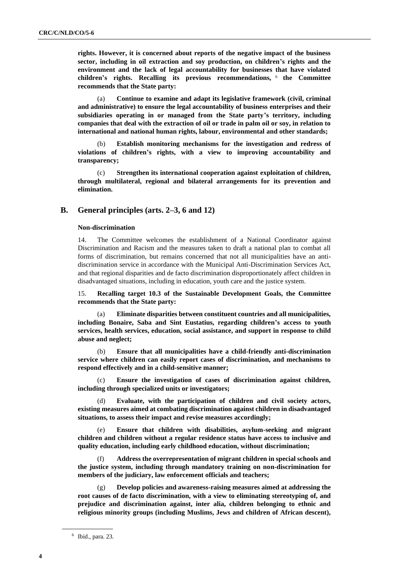**rights. However, it is concerned about reports of the negative impact of the business sector, including in oil extraction and soy production, on children's rights and the environment and the lack of legal accountability for businesses that have violated children's rights. Recalling its previous recommendations,** <sup>6</sup> **the Committee recommends that the State party:**

(a) **Continue to examine and adapt its legislative framework (civil, criminal and administrative) to ensure the legal accountability of business enterprises and their subsidiaries operating in or managed from the State party's territory, including companies that deal with the extraction of oil or trade in palm oil or soy, in relation to international and national human rights, labour, environmental and other standards;** 

(b) **Establish monitoring mechanisms for the investigation and redress of violations of children's rights, with a view to improving accountability and transparency;**

(c) **Strengthen its international cooperation against exploitation of children, through multilateral, regional and bilateral arrangements for its prevention and elimination.**

## **B. General principles (arts. 2–3, 6 and 12)**

#### **Non-discrimination**

14. The Committee welcomes the establishment of a National Coordinator against Discrimination and Racism and the measures taken to draft a national plan to combat all forms of discrimination, but remains concerned that not all municipalities have an antidiscrimination service in accordance with the Municipal Anti-Discrimination Services Act, and that regional disparities and de facto discrimination disproportionately affect children in disadvantaged situations, including in education, youth care and the justice system.

15. **Recalling target 10.3 of the Sustainable Development Goals, the Committee recommends that the State party:**

(a) **Eliminate disparities between constituent countries and all municipalities, including Bonaire, Saba and Sint Eustatius, regarding children's access to youth services, health services, education, social assistance, and support in response to child abuse and neglect;**

(b) **Ensure that all municipalities have a child-friendly anti-discrimination service where children can easily report cases of discrimination, and mechanisms to respond effectively and in a child-sensitive manner;**

(c) **Ensure the investigation of cases of discrimination against children, including through specialized units or investigators;**

Evaluate, with the participation of children and civil society actors, **existing measures aimed at combating discrimination against children in disadvantaged situations, to assess their impact and revise measures accordingly;**

(e) **Ensure that children with disabilities, asylum-seeking and migrant children and children without a regular residence status have access to inclusive and quality education, including early childhood education, without discrimination;**

(f) **Address the overrepresentation of migrant children in special schools and the justice system, including through mandatory training on non-discrimination for members of the judiciary, law enforcement officials and teachers;**

(g) **Develop policies and awareness-raising measures aimed at addressing the root causes of de facto discrimination, with a view to eliminating stereotyping of, and prejudice and discrimination against, inter alia, children belonging to ethnic and religious minority groups (including Muslims, Jews and children of African descent),** 

<sup>6</sup> Ibid., para. 23.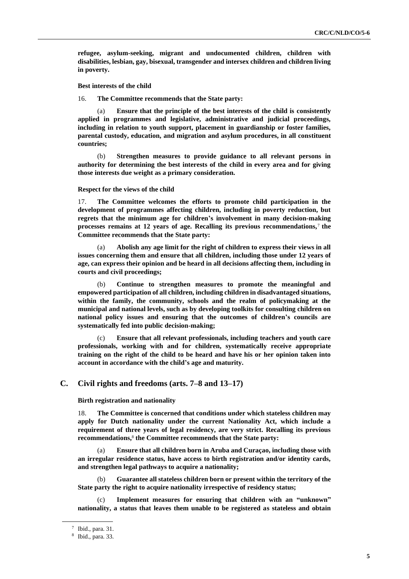**refugee, asylum-seeking, migrant and undocumented children, children with disabilities, lesbian, gay, bisexual, transgender and intersex children and children living in poverty.**

**Best interests of the child**

16. **The Committee recommends that the State party:**

(a) **Ensure that the principle of the best interests of the child is consistently applied in programmes and legislative, administrative and judicial proceedings, including in relation to youth support, placement in guardianship or foster families, parental custody, education, and migration and asylum procedures, in all constituent countries;**

(b) **Strengthen measures to provide guidance to all relevant persons in authority for determining the best interests of the child in every area and for giving those interests due weight as a primary consideration.**

### **Respect for the views of the child**

17. **The Committee welcomes the efforts to promote child participation in the development of programmes affecting children, including in poverty reduction, but regrets that the minimum age for children's involvement in many decision-making processes remains at 12 years of age. Recalling its previous recommendations,**<sup>7</sup> **the Committee recommends that the State party:**

(a) **Abolish any age limit for the right of children to express their views in all issues concerning them and ensure that all children, including those under 12 years of age, can express their opinion and be heard in all decisions affecting them, including in courts and civil proceedings;**

(b) **Continue to strengthen measures to promote the meaningful and empowered participation of all children, including children in disadvantaged situations, within the family, the community, schools and the realm of policymaking at the municipal and national levels, such as by developing toolkits for consulting children on national policy issues and ensuring that the outcomes of children's councils are systematically fed into public decision-making;**

(c) **Ensure that all relevant professionals, including teachers and youth care professionals, working with and for children, systematically receive appropriate training on the right of the child to be heard and have his or her opinion taken into account in accordance with the child's age and maturity.**

## **C. Civil rights and freedoms (arts. 7–8 and 13–17)**

**Birth registration and nationality**

18. **The Committee is concerned that conditions under which stateless children may apply for Dutch nationality under the current Nationality Act, which include a requirement of three years of legal residency, are very strict. Recalling its previous recommendations,**<sup>8</sup> **the Committee recommends that the State party:**

(a) **Ensure that all children born in Aruba and Curaçao, including those with an irregular residence status, have access to birth registration and/or identity cards, and strengthen legal pathways to acquire a nationality;** 

(b) **Guarantee all stateless children born or present within the territory of the State party the right to acquire nationality irrespective of residency status;**

(c) **Implement measures for ensuring that children with an "unknown" nationality, a status that leaves them unable to be registered as stateless and obtain** 

<sup>7</sup> Ibid., para. 31.

<sup>8</sup> Ibid., para. 33.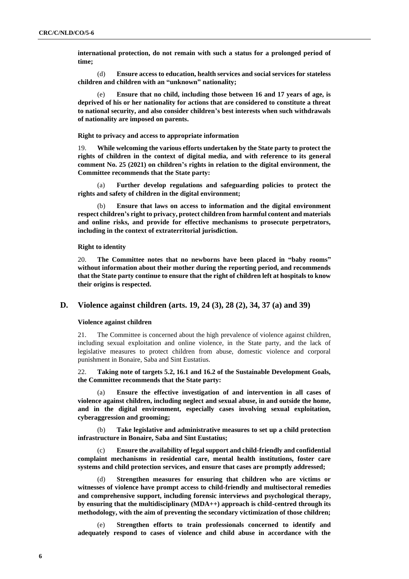**international protection, do not remain with such a status for a prolonged period of time;**

(d) **Ensure access to education, health services and social services for stateless children and children with an "unknown" nationality;**

(e) **Ensure that no child, including those between 16 and 17 years of age, is deprived of his or her nationality for actions that are considered to constitute a threat to national security, and also consider children's best interests when such withdrawals of nationality are imposed on parents.**

**Right to privacy and access to appropriate information**

19. **While welcoming the various efforts undertaken by the State party to protect the rights of children in the context of digital media, and with reference to its general comment No. 25 (2021) on children's rights in relation to the digital environment, the Committee recommends that the State party:**

(a) **Further develop regulations and safeguarding policies to protect the rights and safety of children in the digital environment;**

(b) **Ensure that laws on access to information and the digital environment respect children's right to privacy, protect children from harmful content and materials and online risks, and provide for effective mechanisms to prosecute perpetrators, including in the context of extraterritorial jurisdiction.**

### **Right to identity**

20. **The Committee notes that no newborns have been placed in "baby rooms" without information about their mother during the reporting period, and recommends that the State party continue to ensure that the right of children left at hospitals to know their origins is respected.**

## **D. Violence against children (arts. 19, 24 (3), 28 (2), 34, 37 (a) and 39)**

#### **Violence against children**

21. The Committee is concerned about the high prevalence of violence against children, including sexual exploitation and online violence, in the State party, and the lack of legislative measures to protect children from abuse, domestic violence and corporal punishment in Bonaire, Saba and Sint Eustatius.

22. **Taking note of targets 5.2, 16.1 and 16.2 of the Sustainable Development Goals, the Committee recommends that the State party:**

(a) **Ensure the effective investigation of and intervention in all cases of violence against children, including neglect and sexual abuse, in and outside the home, and in the digital environment, especially cases involving sexual exploitation, cyberaggression and grooming;**

(b) **Take legislative and administrative measures to set up a child protection infrastructure in Bonaire, Saba and Sint Eustatius;**

(c) **Ensure the availability of legal support and child-friendly and confidential complaint mechanisms in residential care, mental health institutions, foster care systems and child protection services, and ensure that cases are promptly addressed;**

(d) **Strengthen measures for ensuring that children who are victims or witnesses of violence have prompt access to child-friendly and multisectoral remedies and comprehensive support, including forensic interviews and psychological therapy, by ensuring that the multidisciplinary (MDA++) approach is child-centred through its methodology, with the aim of preventing the secondary victimization of those children;**

(e) **Strengthen efforts to train professionals concerned to identify and adequately respond to cases of violence and child abuse in accordance with the**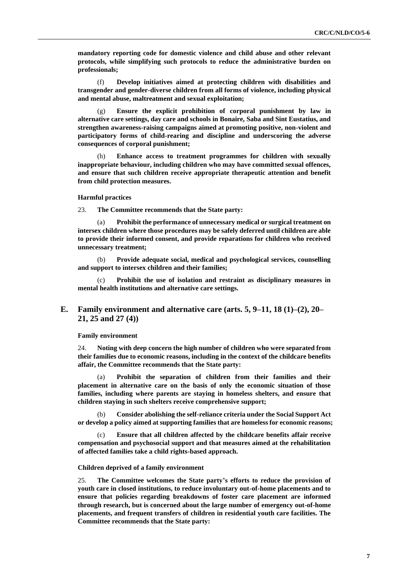**mandatory reporting code for domestic violence and child abuse and other relevant protocols, while simplifying such protocols to reduce the administrative burden on professionals;**

(f) **Develop initiatives aimed at protecting children with disabilities and transgender and gender-diverse children from all forms of violence, including physical and mental abuse, maltreatment and sexual exploitation;**

(g) **Ensure the explicit prohibition of corporal punishment by law in alternative care settings, day care and schools in Bonaire, Saba and Sint Eustatius, and strengthen awareness-raising campaigns aimed at promoting positive, non-violent and participatory forms of child-rearing and discipline and underscoring the adverse consequences of corporal punishment;**

(h) **Enhance access to treatment programmes for children with sexually inappropriate behaviour, including children who may have committed sexual offences, and ensure that such children receive appropriate therapeutic attention and benefit from child protection measures.**

### **Harmful practices**

23. **The Committee recommends that the State party:**

(a) **Prohibit the performance of unnecessary medical or surgical treatment on intersex children where those procedures may be safely deferred until children are able to provide their informed consent, and provide reparations for children who received unnecessary treatment;**

(b) **Provide adequate social, medical and psychological services, counselling and support to intersex children and their families;**

(c) **Prohibit the use of isolation and restraint as disciplinary measures in mental health institutions and alternative care settings.**

# **E. Family environment and alternative care (arts. 5, 9–11, 18 (1)–(2), 20– 21, 25 and 27 (4))**

**Family environment**

24. **Noting with deep concern the high number of children who were separated from their families due to economic reasons, including in the context of the childcare benefits affair, the Committee recommends that the State party:**

(a) **Prohibit the separation of children from their families and their placement in alternative care on the basis of only the economic situation of those families, including where parents are staying in homeless shelters, and ensure that children staying in such shelters receive comprehensive support;**

(b) **Consider abolishing the self-reliance criteria under the Social Support Act or develop a policy aimed at supporting families that are homeless for economic reasons;** 

(c) **Ensure that all children affected by the childcare benefits affair receive compensation and psychosocial support and that measures aimed at the rehabilitation of affected families take a child rights-based approach.**

### **Children deprived of a family environment**

25. **The Committee welcomes the State party's efforts to reduce the provision of youth care in closed institutions, to reduce involuntary out-of-home placements and to ensure that policies regarding breakdowns of foster care placement are informed through research, but is concerned about the large number of emergency out-of-home placements, and frequent transfers of children in residential youth care facilities. The Committee recommends that the State party:**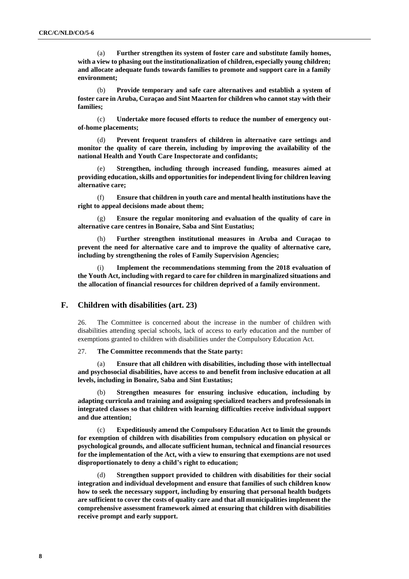(a) **Further strengthen its system of foster care and substitute family homes, with a view to phasing out the institutionalization of children, especially young children; and allocate adequate funds towards families to promote and support care in a family environment;** 

(b) **Provide temporary and safe care alternatives and establish a system of foster care in Aruba, Curaçao and Sint Maarten for children who cannot stay with their families;**

(c) **Undertake more focused efforts to reduce the number of emergency outof-home placements;**

(d) **Prevent frequent transfers of children in alternative care settings and monitor the quality of care therein, including by improving the availability of the national Health and Youth Care Inspectorate and confidants;**

Strengthen, including through increased funding, measures aimed at **providing education, skills and opportunities for independent living for children leaving alternative care;**

(f) **Ensure that children in youth care and mental health institutions have the right to appeal decisions made about them;**

(g) **Ensure the regular monitoring and evaluation of the quality of care in alternative care centres in Bonaire, Saba and Sint Eustatius;**

(h) **Further strengthen institutional measures in Aruba and Curaçao to prevent the need for alternative care and to improve the quality of alternative care, including by strengthening the roles of Family Supervision Agencies;**

Implement the recommendations stemming from the 2018 evaluation of **the Youth Act, including with regard to care for children in marginalized situations and the allocation of financial resources for children deprived of a family environment.**

# **F. Children with disabilities (art. 23)**

26. The Committee is concerned about the increase in the number of children with disabilities attending special schools, lack of access to early education and the number of exemptions granted to children with disabilities under the Compulsory Education Act.

# 27. **The Committee recommends that the State party:**

(a) **Ensure that all children with disabilities, including those with intellectual and psychosocial disabilities, have access to and benefit from inclusive education at all levels, including in Bonaire, Saba and Sint Eustatius;** 

(b) **Strengthen measures for ensuring inclusive education, including by adapting curricula and training and assigning specialized teachers and professionals in integrated classes so that children with learning difficulties receive individual support and due attention;**

**Expeditiously amend the Compulsory Education Act to limit the grounds for exemption of children with disabilities from compulsory education on physical or psychological grounds, and allocate sufficient human, technical and financial resources for the implementation of the Act, with a view to ensuring that exemptions are not used disproportionately to deny a child's right to education;**

(d) **Strengthen support provided to children with disabilities for their social integration and individual development and ensure that families of such children know how to seek the necessary support, including by ensuring that personal health budgets are sufficient to cover the costs of quality care and that all municipalities implement the comprehensive assessment framework aimed at ensuring that children with disabilities receive prompt and early support.**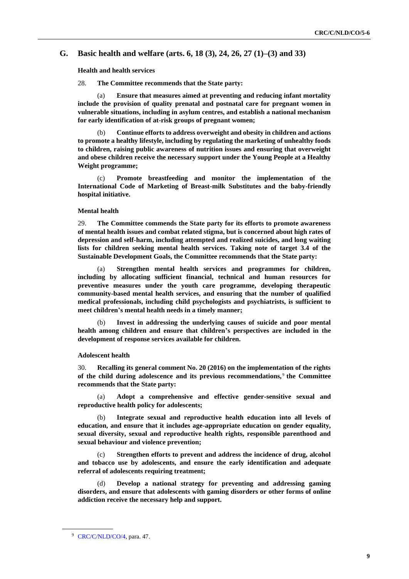# **G. Basic health and welfare (arts. 6, 18 (3), 24, 26, 27 (1)–(3) and 33)**

**Health and health services**

28. **The Committee recommends that the State party:** 

(a) **Ensure that measures aimed at preventing and reducing infant mortality include the provision of quality prenatal and postnatal care for pregnant women in vulnerable situations, including in asylum centres, and establish a national mechanism for early identification of at-risk groups of pregnant women;**

(b) **Continue efforts to address overweight and obesity in children and actions to promote a healthy lifestyle, including by regulating the marketing of unhealthy foods to children, raising public awareness of nutrition issues and ensuring that overweight and obese children receive the necessary support under the Young People at a Healthy Weight programme;**

(c) **Promote breastfeeding and monitor the implementation of the International Code of Marketing of Breast-milk Substitutes and the baby-friendly hospital initiative.** 

### **Mental health**

29. **The Committee commends the State party for its efforts to promote awareness of mental health issues and combat related stigma, but is concerned about high rates of depression and self-harm, including attempted and realized suicides, and long waiting lists for children seeking mental health services. Taking note of target 3.4 of the Sustainable Development Goals, the Committee recommends that the State party:**

(a) **Strengthen mental health services and programmes for children, including by allocating sufficient financial, technical and human resources for preventive measures under the youth care programme, developing therapeutic community-based mental health services, and ensuring that the number of qualified medical professionals, including child psychologists and psychiatrists, is sufficient to meet children's mental health needs in a timely manner;** 

Invest in addressing the underlying causes of suicide and poor mental **health among children and ensure that children's perspectives are included in the development of response services available for children.**

#### **Adolescent health**

30. **Recalling its general comment No. 20 (2016) on the implementation of the rights of the child during adolescence and its previous recommendations,** <sup>9</sup> **the Committee recommends that the State party:**

(a) **Adopt a comprehensive and effective gender-sensitive sexual and reproductive health policy for adolescents;** 

(b) **Integrate sexual and reproductive health education into all levels of education, and ensure that it includes age-appropriate education on gender equality, sexual diversity, sexual and reproductive health rights, responsible parenthood and sexual behaviour and violence prevention;**

(c) **Strengthen efforts to prevent and address the incidence of drug, alcohol and tobacco use by adolescents, and ensure the early identification and adequate referral of adolescents requiring treatment;**

(d) **Develop a national strategy for preventing and addressing gaming disorders, and ensure that adolescents with gaming disorders or other forms of online addiction receive the necessary help and support.**

<sup>9</sup> [CRC/C/NLD/CO/4,](http://undocs.org/en/CRC/C/NLD/CO/4) para. 47.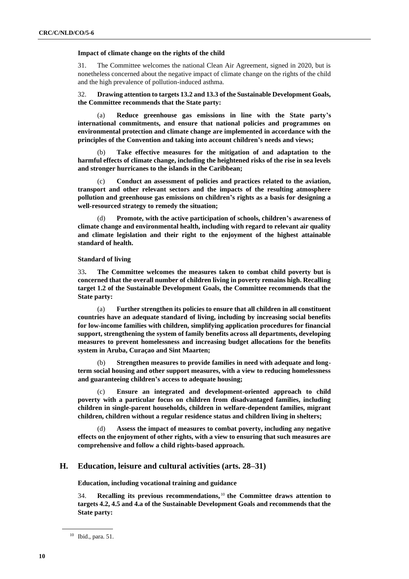### **Impact of climate change on the rights of the child**

31. The Committee welcomes the national Clean Air Agreement, signed in 2020, but is nonetheless concerned about the negative impact of climate change on the rights of the child and the high prevalence of pollution-induced asthma.

32. **Drawing attention to targets 13.2 and 13.3 of the Sustainable Development Goals, the Committee recommends that the State party:**

(a) **Reduce greenhouse gas emissions in line with the State party's international commitments, and ensure that national policies and programmes on environmental protection and climate change are implemented in accordance with the principles of the Convention and taking into account children's needs and views;**

Take effective measures for the mitigation of and adaptation to the **harmful effects of climate change, including the heightened risks of the rise in sea levels and stronger hurricanes to the islands in the Caribbean;**

Conduct an assessment of policies and practices related to the aviation, **transport and other relevant sectors and the impacts of the resulting atmosphere pollution and greenhouse gas emissions on children's rights as a basis for designing a well-resourced strategy to remedy the situation;** 

(d) **Promote, with the active participation of schools, children's awareness of climate change and environmental health, including with regard to relevant air quality and climate legislation and their right to the enjoyment of the highest attainable standard of health.**

## **Standard of living**

33**. The Committee welcomes the measures taken to combat child poverty but is concerned that the overall number of children living in poverty remains high. Recalling target 1.2 of the Sustainable Development Goals, the Committee recommends that the State party:**

(a) **Further strengthen its policies to ensure that all children in all constituent countries have an adequate standard of living, including by increasing social benefits for low-income families with children, simplifying application procedures for financial support, strengthening the system of family benefits across all departments, developing measures to prevent homelessness and increasing budget allocations for the benefits system in Aruba, Curaçao and Sint Maarten;**

(b) **Strengthen measures to provide families in need with adequate and longterm social housing and other support measures, with a view to reducing homelessness and guaranteeing children's access to adequate housing;**

(c) **Ensure an integrated and development-oriented approach to child poverty with a particular focus on children from disadvantaged families, including children in single-parent households, children in welfare-dependent families, migrant children, children without a regular residence status and children living in shelters;**

(d) **Assess the impact of measures to combat poverty, including any negative effects on the enjoyment of other rights, with a view to ensuring that such measures are comprehensive and follow a child rights-based approach.**

# **H. Education, leisure and cultural activities (arts. 28–31)**

**Education, including vocational training and guidance**

34. **Recalling its previous recommendations,** <sup>10</sup> **the Committee draws attention to targets 4.2, 4.5 and 4.a of the Sustainable Development Goals and recommends that the State party:**

<sup>10</sup> Ibid., para. 51.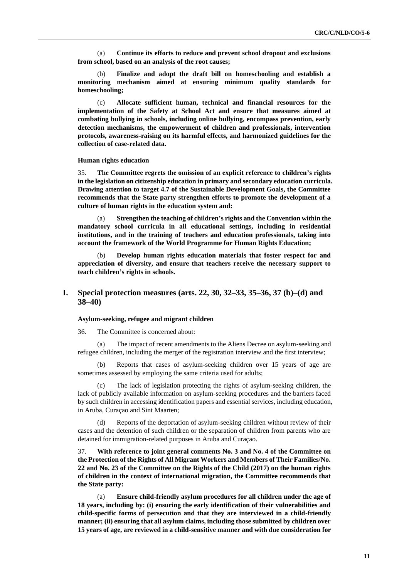(a) **Continue its efforts to reduce and prevent school dropout and exclusions from school, based on an analysis of the root causes;**

(b) **Finalize and adopt the draft bill on homeschooling and establish a monitoring mechanism aimed at ensuring minimum quality standards for homeschooling;**

(c) **Allocate sufficient human, technical and financial resources for the implementation of the Safety at School Act and ensure that measures aimed at combating bullying in schools, including online bullying, encompass prevention, early detection mechanisms, the empowerment of children and professionals, intervention protocols, awareness-raising on its harmful effects, and harmonized guidelines for the collection of case-related data.**

#### **Human rights education**

35. **The Committee regrets the omission of an explicit reference to children's rights in the legislation on citizenship education in primary and secondary education curricula. Drawing attention to target 4.7 of the Sustainable Development Goals, the Committee recommends that the State party strengthen efforts to promote the development of a culture of human rights in the education system and:**

(a) **Strengthen the teaching of children's rights and the Convention within the mandatory school curricula in all educational settings, including in residential institutions, and in the training of teachers and education professionals, taking into account the framework of the World Programme for Human Rights Education;**

(b) **Develop human rights education materials that foster respect for and appreciation of diversity, and ensure that teachers receive the necessary support to teach children's rights in schools.**

# **I. Special protection measures (arts. 22, 30, 32–33, 35–36, 37 (b)–(d) and 38–40)**

## **Asylum-seeking, refugee and migrant children**

36. The Committee is concerned about:

(a) The impact of recent amendments to the Aliens Decree on asylum-seeking and refugee children, including the merger of the registration interview and the first interview;

(b) Reports that cases of asylum-seeking children over 15 years of age are sometimes assessed by employing the same criteria used for adults;

The lack of legislation protecting the rights of asylum-seeking children, the lack of publicly available information on asylum-seeking procedures and the barriers faced by such children in accessing identification papers and essential services, including education, in Aruba, Curaçao and Sint Maarten;

Reports of the deportation of asylum-seeking children without review of their cases and the detention of such children or the separation of children from parents who are detained for immigration-related purposes in Aruba and Curaçao.

37. **With reference to joint general comments No. 3 and No. 4 of the Committee on the Protection of the Rights of All Migrant Workers and Members of Their Families/No. 22 and No. 23 of the Committee on the Rights of the Child (2017) on the human rights of children in the context of international migration, the Committee recommends that the State party:**

(a) **Ensure child-friendly asylum procedures for all children under the age of 18 years, including by: (i) ensuring the early identification of their vulnerabilities and child-specific forms of persecution and that they are interviewed in a child-friendly manner; (ii) ensuring that all asylum claims, including those submitted by children over 15 years of age, are reviewed in a child-sensitive manner and with due consideration for**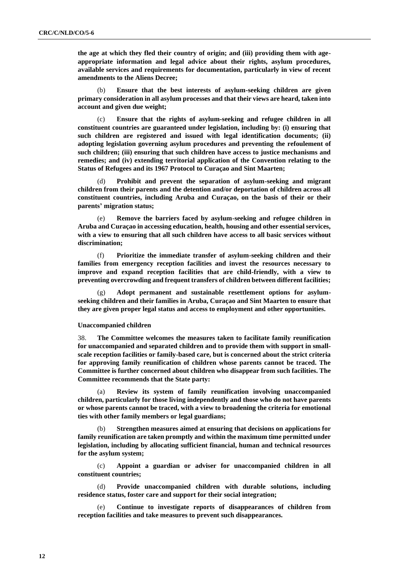**the age at which they fled their country of origin; and (iii) providing them with ageappropriate information and legal advice about their rights, asylum procedures, available services and requirements for documentation, particularly in view of recent amendments to the Aliens Decree;** 

Ensure that the best interests of asylum-seeking children are given **primary consideration in all asylum processes and that their views are heard, taken into account and given due weight;**

(c) **Ensure that the rights of asylum-seeking and refugee children in all constituent countries are guaranteed under legislation, including by: (i) ensuring that such children are registered and issued with legal identification documents; (ii) adopting legislation governing asylum procedures and preventing the refoulement of such children; (iii) ensuring that such children have access to justice mechanisms and remedies; and (iv) extending territorial application of the Convention relating to the Status of Refugees and its 1967 Protocol to Curaçao and Sint Maarten;** 

Prohibit and prevent the separation of asylum-seeking and migrant **children from their parents and the detention and/or deportation of children across all constituent countries, including Aruba and Curaçao, on the basis of their or their parents' migration status;**

(e) **Remove the barriers faced by asylum-seeking and refugee children in Aruba and Curaçao in accessing education, health, housing and other essential services, with a view to ensuring that all such children have access to all basic services without discrimination;**

(f) **Prioritize the immediate transfer of asylum-seeking children and their families from emergency reception facilities and invest the resources necessary to improve and expand reception facilities that are child-friendly, with a view to preventing overcrowding and frequent transfers of children between different facilities;**

Adopt permanent and sustainable resettlement options for asylum**seeking children and their families in Aruba, Curaçao and Sint Maarten to ensure that they are given proper legal status and access to employment and other opportunities.**

#### **Unaccompanied children**

38. **The Committee welcomes the measures taken to facilitate family reunification for unaccompanied and separated children and to provide them with support in smallscale reception facilities or family-based care, but is concerned about the strict criteria for approving family reunification of children whose parents cannot be traced. The Committee is further concerned about children who disappear from such facilities. The Committee recommends that the State party:**

Review its system of family reunification involving unaccompanied **children, particularly for those living independently and those who do not have parents or whose parents cannot be traced, with a view to broadening the criteria for emotional ties with other family members or legal guardians;** 

(b) **Strengthen measures aimed at ensuring that decisions on applications for family reunification are taken promptly and within the maximum time permitted under legislation, including by allocating sufficient financial, human and technical resources for the asylum system;**

(c) **Appoint a guardian or adviser for unaccompanied children in all constituent countries;**

(d) **Provide unaccompanied children with durable solutions, including residence status, foster care and support for their social integration;**

Continue to investigate reports of disappearances of children from **reception facilities and take measures to prevent such disappearances.**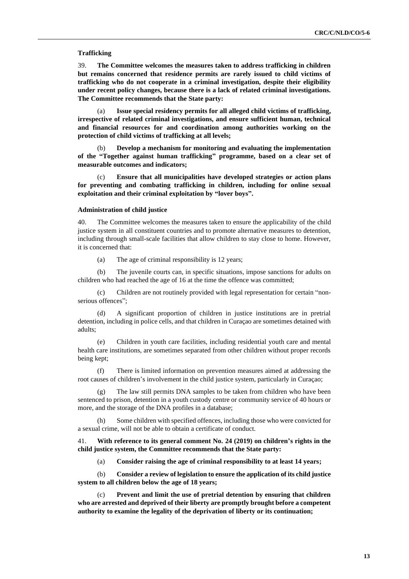### **Trafficking**

39. **The Committee welcomes the measures taken to address trafficking in children but remains concerned that residence permits are rarely issued to child victims of trafficking who do not cooperate in a criminal investigation, despite their eligibility under recent policy changes, because there is a lack of related criminal investigations. The Committee recommends that the State party:**

(a) **Issue special residency permits for all alleged child victims of trafficking, irrespective of related criminal investigations, and ensure sufficient human, technical and financial resources for and coordination among authorities working on the protection of child victims of trafficking at all levels;**

(b) **Develop a mechanism for monitoring and evaluating the implementation of the "Together against human trafficking" programme, based on a clear set of measurable outcomes and indicators;**

(c) **Ensure that all municipalities have developed strategies or action plans for preventing and combating trafficking in children, including for online sexual exploitation and their criminal exploitation by "lover boys".**

#### **Administration of child justice**

40. The Committee welcomes the measures taken to ensure the applicability of the child justice system in all constituent countries and to promote alternative measures to detention, including through small-scale facilities that allow children to stay close to home. However, it is concerned that:

(a) The age of criminal responsibility is 12 years;

(b) The juvenile courts can, in specific situations, impose sanctions for adults on children who had reached the age of 16 at the time the offence was committed;

(c) Children are not routinely provided with legal representation for certain "nonserious offences";

(d) A significant proportion of children in justice institutions are in pretrial detention, including in police cells, and that children in Curaçao are sometimes detained with adults;

(e) Children in youth care facilities, including residential youth care and mental health care institutions, are sometimes separated from other children without proper records being kept;

(f) There is limited information on prevention measures aimed at addressing the root causes of children's involvement in the child justice system, particularly in Curaçao;

(g) The law still permits DNA samples to be taken from children who have been sentenced to prison, detention in a youth custody centre or community service of 40 hours or more, and the storage of the DNA profiles in a database;

(h) Some children with specified offences, including those who were convicted for a sexual crime, will not be able to obtain a certificate of conduct.

41. **With reference to its general comment No. 24 (2019) on children's rights in the child justice system, the Committee recommends that the State party:**

(a) **Consider raising the age of criminal responsibility to at least 14 years;**

(b) **Consider a review of legislation to ensure the application of its child justice system to all children below the age of 18 years;**

(c) **Prevent and limit the use of pretrial detention by ensuring that children who are arrested and deprived of their liberty are promptly brought before a competent authority to examine the legality of the deprivation of liberty or its continuation;**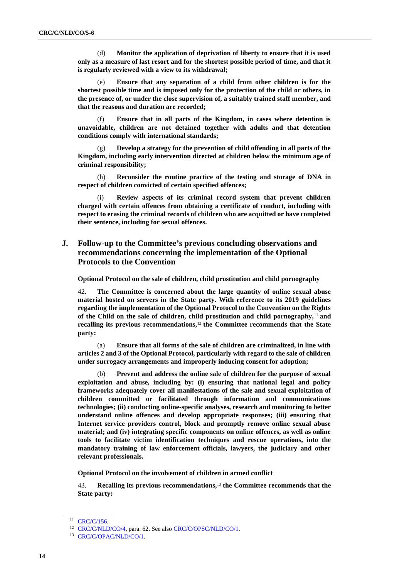(d) **Monitor the application of deprivation of liberty to ensure that it is used only as a measure of last resort and for the shortest possible period of time, and that it is regularly reviewed with a view to its withdrawal;**

(e) **Ensure that any separation of a child from other children is for the shortest possible time and is imposed only for the protection of the child or others, in the presence of, or under the close supervision of, a suitably trained staff member, and that the reasons and duration are recorded;**

Ensure that in all parts of the Kingdom, in cases where detention is **unavoidable, children are not detained together with adults and that detention conditions comply with international standards;**

Develop a strategy for the prevention of child offending in all parts of the **Kingdom, including early intervention directed at children below the minimum age of criminal responsibility;**

(h) **Reconsider the routine practice of the testing and storage of DNA in respect of children convicted of certain specified offences;**

Review aspects of its criminal record system that prevent children **charged with certain offences from obtaining a certificate of conduct, including with respect to erasing the criminal records of children who are acquitted or have completed their sentence, including for sexual offences.**

# **J. Follow-up to the Committee's previous concluding observations and recommendations concerning the implementation of the Optional Protocols to the Convention**

**Optional Protocol on the sale of children, child prostitution and child pornography**

42. **The Committee is concerned about the large quantity of online sexual abuse material hosted on servers in the State party. With reference to its 2019 guidelines regarding the implementation of the Optional Protocol to the Convention on the Rights of the Child on the sale of children, child prostitution and child pornography,**<sup>11</sup> **and recalling its previous recommendations,**<sup>12</sup> **the Committee recommends that the State party:**

(a) **Ensure that all forms of the sale of children are criminalized, in line with articles 2 and 3 of the Optional Protocol, particularly with regard to the sale of children under surrogacy arrangements and improperly inducing consent for adoption;**

(b) **Prevent and address the online sale of children for the purpose of sexual exploitation and abuse, including by: (i) ensuring that national legal and policy frameworks adequately cover all manifestations of the sale and sexual exploitation of children committed or facilitated through information and communications technologies; (ii) conducting online-specific analyses, research and monitoring to better understand online offences and develop appropriate responses; (iii) ensuring that Internet service providers control, block and promptly remove online sexual abuse material; and (iv) integrating specific components on online offences, as well as online tools to facilitate victim identification techniques and rescue operations, into the mandatory training of law enforcement officials, lawyers, the judiciary and other relevant professionals.**

**Optional Protocol on the involvement of children in armed conflict**

43. **Recalling its previous recommendations,**<sup>13</sup> **the Committee recommends that the State party:**

<sup>&</sup>lt;sup>11</sup> [CRC/C/156.](http://undocs.org/en/CRC/C/156)

<sup>&</sup>lt;sup>12</sup> [CRC/C/NLD/CO/4,](http://undocs.org/en/CRC/C/NLD/CO/4) para. 62. See also [CRC/C/OPSC/NLD/CO/1.](https://undocs.org/en/CRC/C/OPSC/NLD/CO/1)

<sup>13</sup> [CRC/C/OPAC/NLD/CO/1.](https://undocs.org/en/CRC/C/OPAC/NLD/CO/1)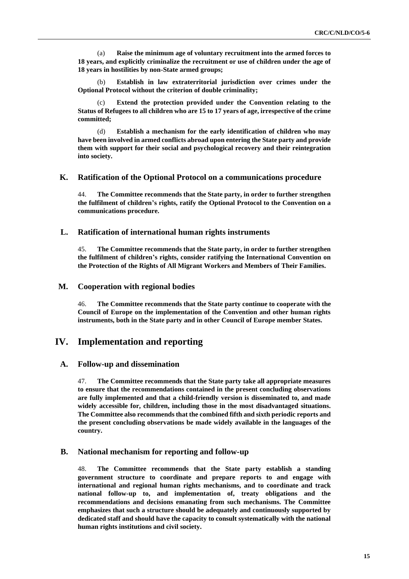(a) **Raise the minimum age of voluntary recruitment into the armed forces to 18 years, and explicitly criminalize the recruitment or use of children under the age of 18 years in hostilities by non-State armed groups;**

(b) **Establish in law extraterritorial jurisdiction over crimes under the Optional Protocol without the criterion of double criminality;**

Extend the protection provided under the Convention relating to the **Status of Refugees to all children who are 15 to 17 years of age, irrespective of the crime committed;**

(d) **Establish a mechanism for the early identification of children who may have been involved in armed conflicts abroad upon entering the State party and provide them with support for their social and psychological recovery and their reintegration into society.**

# **K. Ratification of the Optional Protocol on a communications procedure**

44. **The Committee recommends that the State party, in order to further strengthen the fulfilment of children's rights, ratify the Optional Protocol to the Convention on a communications procedure.**

# **L. Ratification of international human rights instruments**

45. **The Committee recommends that the State party, in order to further strengthen the fulfilment of children's rights, consider ratifying the International Convention on the Protection of the Rights of All Migrant Workers and Members of Their Families.** 

# **M. Cooperation with regional bodies**

46. **The Committee recommends that the State party continue to cooperate with the Council of Europe on the implementation of the Convention and other human rights instruments, both in the State party and in other Council of Europe member States.**

# **IV. Implementation and reporting**

### **A. Follow-up and dissemination**

47. **The Committee recommends that the State party take all appropriate measures to ensure that the recommendations contained in the present concluding observations are fully implemented and that a child-friendly version is disseminated to, and made widely accessible for, children, including those in the most disadvantaged situations. The Committee also recommends that the combined fifth and sixth periodic reports and the present concluding observations be made widely available in the languages of the country.** 

### **B. National mechanism for reporting and follow-up**

48. **The Committee recommends that the State party establish a standing government structure to coordinate and prepare reports to and engage with international and regional human rights mechanisms, and to coordinate and track national follow-up to, and implementation of, treaty obligations and the recommendations and decisions emanating from such mechanisms. The Committee emphasizes that such a structure should be adequately and continuously supported by dedicated staff and should have the capacity to consult systematically with the national human rights institutions and civil society.**